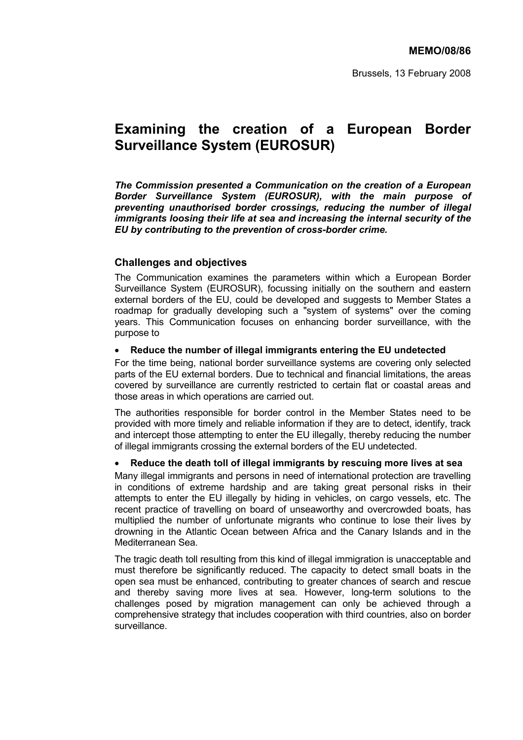# **Examining the creation of a European Border Surveillance System (EUROSUR)**

*The Commission presented a Communication on the creation of a European Border Surveillance System (EUROSUR), with the main purpose of preventing unauthorised border crossings, reducing the number of illegal immigrants loosing their life at sea and increasing the internal security of the EU by contributing to the prevention of cross-border crime.* 

# **Challenges and objectives**

The Communication examines the parameters within which a European Border Surveillance System (EUROSUR), focussing initially on the southern and eastern external borders of the EU, could be developed and suggests to Member States a roadmap for gradually developing such a "system of systems" over the coming years. This Communication focuses on enhancing border surveillance, with the purpose to

### • **Reduce the number of illegal immigrants entering the EU undetected**

For the time being, national border surveillance systems are covering only selected parts of the EU external borders. Due to technical and financial limitations, the areas covered by surveillance are currently restricted to certain flat or coastal areas and those areas in which operations are carried out.

The authorities responsible for border control in the Member States need to be provided with more timely and reliable information if they are to detect, identify, track and intercept those attempting to enter the EU illegally, thereby reducing the number of illegal immigrants crossing the external borders of the EU undetected.

# • **Reduce the death toll of illegal immigrants by rescuing more lives at sea**

Many illegal immigrants and persons in need of international protection are travelling in conditions of extreme hardship and are taking great personal risks in their attempts to enter the EU illegally by hiding in vehicles, on cargo vessels, etc. The recent practice of travelling on board of unseaworthy and overcrowded boats, has multiplied the number of unfortunate migrants who continue to lose their lives by drowning in the Atlantic Ocean between Africa and the Canary Islands and in the Mediterranean Sea.

The tragic death toll resulting from this kind of illegal immigration is unacceptable and must therefore be significantly reduced. The capacity to detect small boats in the open sea must be enhanced, contributing to greater chances of search and rescue and thereby saving more lives at sea. However, long-term solutions to the challenges posed by migration management can only be achieved through a comprehensive strategy that includes cooperation with third countries, also on border surveillance.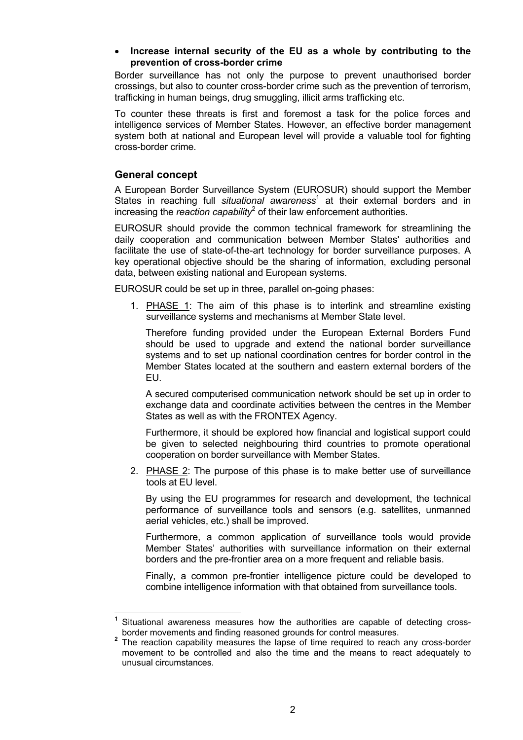### • **Increase internal security of the EU as a whole by contributing to the prevention of cross-border crime**

Border surveillance has not only the purpose to prevent unauthorised border crossings, but also to counter cross-border crime such as the prevention of terrorism, trafficking in human beings, drug smuggling, illicit arms trafficking etc.

To counter these threats is first and foremost a task for the police forces and intelligence services of Member States. However, an effective border management system both at national and European level will provide a valuable tool for fighting cross-border crime.

# **General concept**

A European Border Surveillance System (EUROSUR) should support the Member States in reaching full *situational awareness*<sup>1</sup> at their external borders and in increasing the *reaction capability*<sup>2</sup> of their law enforcement authorities.

EUROSUR should provide the common technical framework for streamlining the daily cooperation and communication between Member States' authorities and facilitate the use of state-of-the-art technology for border surveillance purposes. A key operational objective should be the sharing of information, excluding personal data, between existing national and European systems.

EUROSUR could be set up in three, parallel on-going phases:

1. PHASE 1: The aim of this phase is to interlink and streamline existing surveillance systems and mechanisms at Member State level.

Therefore funding provided under the European External Borders Fund should be used to upgrade and extend the national border surveillance systems and to set up national coordination centres for border control in the Member States located at the southern and eastern external borders of the EU.

A secured computerised communication network should be set up in order to exchange data and coordinate activities between the centres in the Member States as well as with the FRONTEX Agency.

Furthermore, it should be explored how financial and logistical support could be given to selected neighbouring third countries to promote operational cooperation on border surveillance with Member States.

2. PHASE 2: The purpose of this phase is to make better use of surveillance tools at EU level.

By using the EU programmes for research and development, the technical performance of surveillance tools and sensors (e.g. satellites, unmanned aerial vehicles, etc.) shall be improved.

Furthermore, a common application of surveillance tools would provide Member States' authorities with surveillance information on their external borders and the pre-frontier area on a more frequent and reliable basis.

Finally, a common pre-frontier intelligence picture could be developed to combine intelligence information with that obtained from surveillance tools.

 Situational awareness measures how the authorities are capable of detecting cross-<br>border movements and finding reasoned grounds for control measures.

The reaction capability measures the lapse of time required to reach any cross-border movement to be controlled and also the time and the means to react adequately to unusual circumstances.